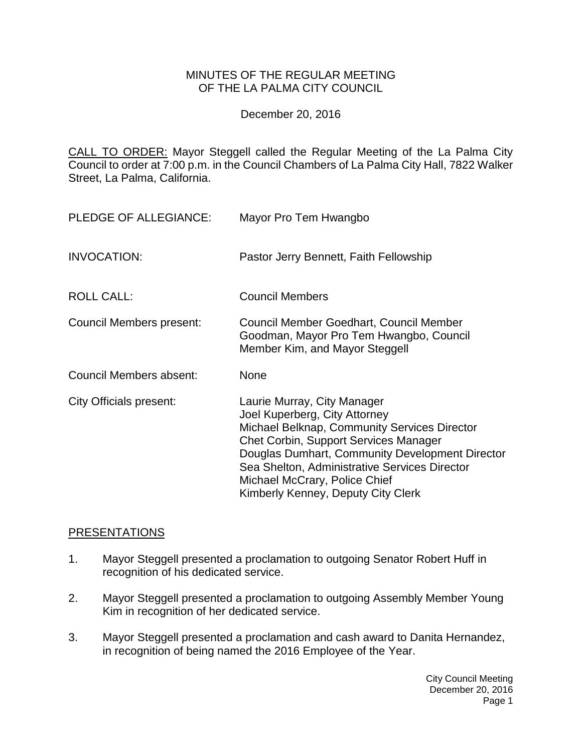#### MINUTES OF THE REGULAR MEETING OF THE LA PALMA CITY COUNCIL

December 20, 2016

CALL TO ORDER: [Mayor Steggell called the Regular Meeting of the La Palma City](http://lapalma.granicus.com/MediaPlayer.php?view_id=&clip_id=1047&meta_id=137863)  [Council to order at 7:00 p.m. in the Council Chambers of La Palma City Hall, 7822 Walker](http://lapalma.granicus.com/MediaPlayer.php?view_id=&clip_id=1047&meta_id=137863)  [Street, La Palma, California.](http://lapalma.granicus.com/MediaPlayer.php?view_id=&clip_id=1047&meta_id=137863)

| PLEDGE OF ALLEGIANCE:    | Mayor Pro Tem Hwangbo                                                                                                                                                                                                                                                                                                                   |
|--------------------------|-----------------------------------------------------------------------------------------------------------------------------------------------------------------------------------------------------------------------------------------------------------------------------------------------------------------------------------------|
| <b>INVOCATION:</b>       | Pastor Jerry Bennett, Faith Fellowship                                                                                                                                                                                                                                                                                                  |
| <b>ROLL CALL:</b>        | <b>Council Members</b>                                                                                                                                                                                                                                                                                                                  |
| Council Members present: | Council Member Goedhart, Council Member<br>Goodman, Mayor Pro Tem Hwangbo, Council<br>Member Kim, and Mayor Steggell                                                                                                                                                                                                                    |
| Council Members absent:  | <b>None</b>                                                                                                                                                                                                                                                                                                                             |
| City Officials present:  | Laurie Murray, City Manager<br>Joel Kuperberg, City Attorney<br>Michael Belknap, Community Services Director<br><b>Chet Corbin, Support Services Manager</b><br>Douglas Dumhart, Community Development Director<br>Sea Shelton, Administrative Services Director<br>Michael McCrary, Police Chief<br>Kimberly Kenney, Deputy City Clerk |

#### [PRESENTATIONS](http://lapalma.granicus.com/MediaPlayer.php?view_id=&clip_id=1047&meta_id=137868)

- 1. [Mayor Steggell presented a proclamation to outgoing Senator Robert Huff in](http://lapalma.granicus.com/MediaPlayer.php?view_id=&clip_id=1047&meta_id=137869)  [recognition of his dedicated service.](http://lapalma.granicus.com/MediaPlayer.php?view_id=&clip_id=1047&meta_id=137869)
- 2. [Mayor Steggell presented a proclamation to outgoing Assembly Member Young](http://lapalma.granicus.com/MediaPlayer.php?view_id=&clip_id=1047&meta_id=137870)  [Kim in recognition of her dedicated service.](http://lapalma.granicus.com/MediaPlayer.php?view_id=&clip_id=1047&meta_id=137870)
- 3. [Mayor Steggell presented a proclamation and cash award to Danita Hernandez,](http://lapalma.granicus.com/MediaPlayer.php?view_id=&clip_id=1047&meta_id=137871)  [in recognition of being named the 2016 Employee of the Year.](http://lapalma.granicus.com/MediaPlayer.php?view_id=&clip_id=1047&meta_id=137871)

City Council Meeting December 20, 2016 Page 1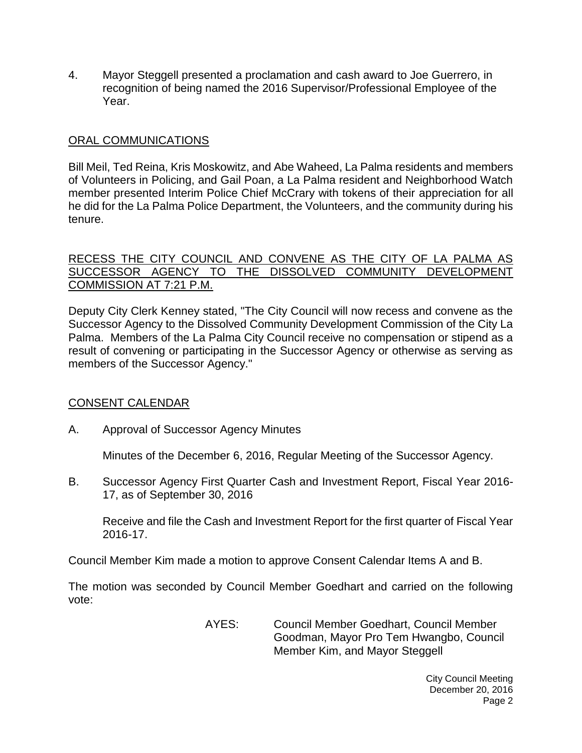4. [Mayor Steggell presented a proclamation and cash award to Joe Guerrero, in](http://lapalma.granicus.com/MediaPlayer.php?view_id=&clip_id=1047&meta_id=137872)  [recognition of being named the 2016 Supervisor/Professional Employee of the](http://lapalma.granicus.com/MediaPlayer.php?view_id=&clip_id=1047&meta_id=137872)  [Year.](http://lapalma.granicus.com/MediaPlayer.php?view_id=&clip_id=1047&meta_id=137872)

### [ORAL COMMUNICATIONS](http://lapalma.granicus.com/MediaPlayer.php?view_id=&clip_id=1047&meta_id=137873)

Bill Meil, Ted Reina, Kris Moskowitz, and Abe Waheed, La Palma residents and members of Volunteers in Policing, and Gail Poan, a La Palma resident and Neighborhood Watch member presented Interim Police Chief McCrary with tokens of their appreciation for all he did for the La Palma Police Department, the Volunteers, and the community during his tenure.

#### [RECESS THE CITY COUNCIL AND CONVENE AS THE CITY OF LA PALMA AS](http://lapalma.granicus.com/MediaPlayer.php?view_id=&clip_id=1047&meta_id=137875) [SUCCESSOR AGENCY TO THE DISSOLVED COMMUNITY DEVELOPMENT](http://lapalma.granicus.com/MediaPlayer.php?view_id=&clip_id=1047&meta_id=137875)  [COMMISSION AT 7:21 P.M.](http://lapalma.granicus.com/MediaPlayer.php?view_id=&clip_id=1047&meta_id=137875)

Deputy City Clerk Kenney stated, "The City Council will now recess and convene as the Successor Agency to the Dissolved Community Development Commission of the City La Palma. Members of the La Palma City Council receive no compensation or stipend as a result of convening or participating in the Successor Agency or otherwise as serving as members of the Successor Agency."

### [CONSENT CALENDAR](http://lapalma.granicus.com/MediaPlayer.php?view_id=&clip_id=1047&meta_id=137877)

A. Approval of Successor Agency Minutes

Minutes of the December 6, 2016, Regular Meeting of the Successor Agency.

B. Successor Agency First Quarter Cash and Investment Report, Fiscal Year 2016- 17, as of September 30, 2016

Receive and file the Cash and Investment Report for the first quarter of Fiscal Year 2016-17.

Council Member Kim made a motion to approve Consent Calendar Items A and B.

The motion was seconded by Council Member Goedhart and carried on the following vote:

> AYES: Council Member Goedhart, Council Member Goodman, Mayor Pro Tem Hwangbo, Council Member Kim, and Mayor Steggell

> > City Council Meeting December 20, 2016 Page 2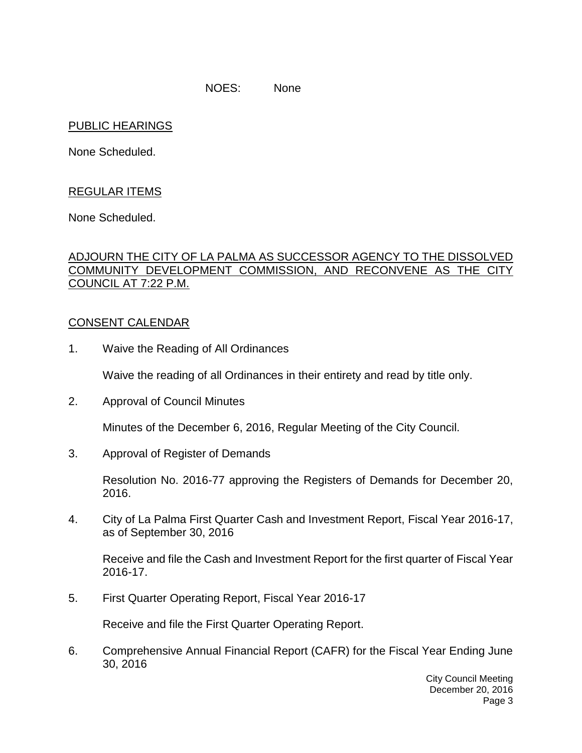NOES: None

### PUBLIC HEARINGS

None Scheduled.

## REGULAR ITEMS

None Scheduled.

#### [ADJOURN THE CITY OF LA PALMA AS SUCCESSOR AGENCY TO THE DISSOLVED](http://lapalma.granicus.com/MediaPlayer.php?view_id=&clip_id=1047&meta_id=137886)  [COMMUNITY DEVELOPMENT COMMISSION, AND RECONVENE AS THE CITY](http://lapalma.granicus.com/MediaPlayer.php?view_id=&clip_id=1047&meta_id=137886)  [COUNCIL AT 7:22 P.M.](http://lapalma.granicus.com/MediaPlayer.php?view_id=&clip_id=1047&meta_id=137886)

#### [CONSENT CALENDAR](http://lapalma.granicus.com/MediaPlayer.php?view_id=&clip_id=1047&meta_id=137887)

1. Waive the Reading of All Ordinances

Waive the reading of all Ordinances in their entirety and read by title only.

2. Approval of Council Minutes

Minutes of the December 6, 2016, Regular Meeting of the City Council.

3. Approval of Register of Demands

Resolution No. 2016-77 approving the Registers of Demands for December 20, 2016.

4. City of La Palma First Quarter Cash and Investment Report, Fiscal Year 2016-17, as of September 30, 2016

Receive and file the Cash and Investment Report for the first quarter of Fiscal Year 2016-17.

5. First Quarter Operating Report, Fiscal Year 2016-17

Receive and file the First Quarter Operating Report.

6. Comprehensive Annual Financial Report (CAFR) for the Fiscal Year Ending June 30, 2016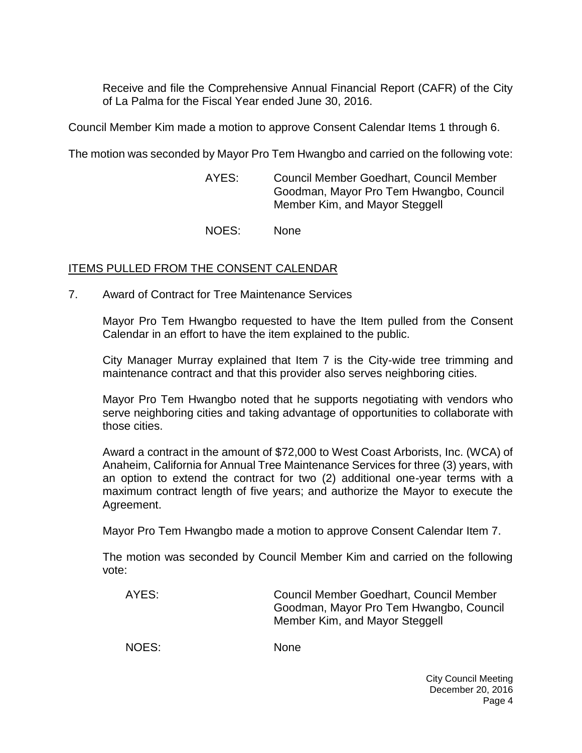Receive and file the Comprehensive Annual Financial Report (CAFR) of the City of La Palma for the Fiscal Year ended June 30, 2016.

Council Member Kim made a motion to approve Consent Calendar Items 1 through 6.

The motion was seconded by Mayor Pro Tem Hwangbo and carried on the following vote:

AYES: Council Member Goedhart, Council Member Goodman, Mayor Pro Tem Hwangbo, Council Member Kim, and Mayor Steggell

NOES: None

#### ITEMS PULLED FROM THE CONSENT CALENDAR

7. [Award of Contract for Tree Maintenance Services](http://lapalma.granicus.com/MediaPlayer.php?view_id=&clip_id=1047&meta_id=137900)

Mayor Pro Tem Hwangbo requested to have the Item pulled from the Consent Calendar in an effort to have the item explained to the public.

City Manager Murray explained that Item 7 is the City-wide tree trimming and maintenance contract and that this provider also serves neighboring cities.

Mayor Pro Tem Hwangbo noted that he supports negotiating with vendors who serve neighboring cities and taking advantage of opportunities to collaborate with those cities.

Award a contract in the amount of \$72,000 to West Coast Arborists, Inc. (WCA) of Anaheim, California for Annual Tree Maintenance Services for three (3) years, with an option to extend the contract for two (2) additional one-year terms with a maximum contract length of five years; and authorize the Mayor to execute the Agreement.

Mayor Pro Tem Hwangbo made a motion to approve Consent Calendar Item 7.

The motion was seconded by Council Member Kim and carried on the following vote:

| AYES: | Council Member Goedhart, Council Member<br>Goodman, Mayor Pro Tem Hwangbo, Council<br>Member Kim, and Mayor Steggell |
|-------|----------------------------------------------------------------------------------------------------------------------|
| NOES: | <b>None</b>                                                                                                          |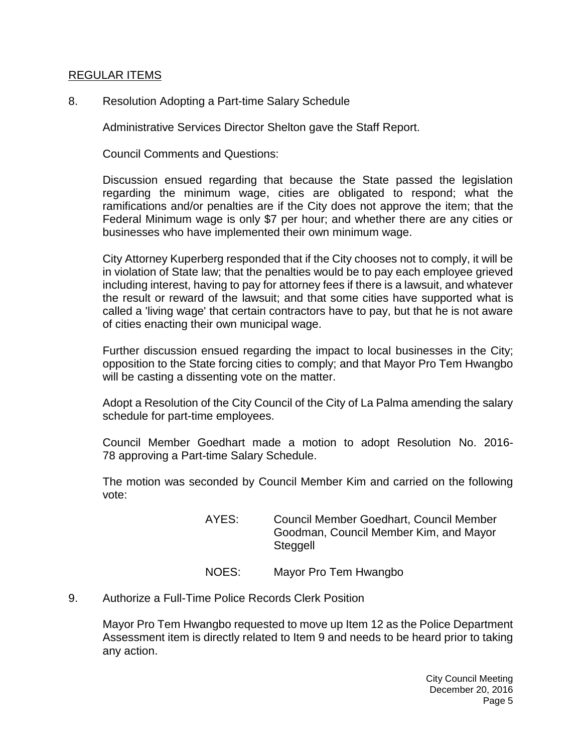#### [REGULAR ITEMS](http://lapalma.granicus.com/MediaPlayer.php?view_id=&clip_id=1047&meta_id=137903)

8. [Resolution Adopting a Part-time Salary Schedule](http://lapalma.granicus.com/MediaPlayer.php?view_id=&clip_id=1047&meta_id=137904)

Administrative Services Director Shelton gave the Staff Report.

Council Comments and Questions:

Discussion ensued regarding that because the State passed the legislation regarding the minimum wage, cities are obligated to respond; what the ramifications and/or penalties are if the City does not approve the item; that the Federal Minimum wage is only \$7 per hour; and whether there are any cities or businesses who have implemented their own minimum wage.

City Attorney Kuperberg responded that if the City chooses not to comply, it will be in violation of State law; that the penalties would be to pay each employee grieved including interest, having to pay for attorney fees if there is a lawsuit, and whatever the result or reward of the lawsuit; and that some cities have supported what is called a 'living wage' that certain contractors have to pay, but that he is not aware of cities enacting their own municipal wage.

Further discussion ensued regarding the impact to local businesses in the City; opposition to the State forcing cities to comply; and that Mayor Pro Tem Hwangbo will be casting a dissenting vote on the matter.

Adopt a Resolution of the City Council of the City of La Palma amending the salary schedule for part-time employees.

Council Member Goedhart made a motion to adopt Resolution No. 2016- 78 approving a Part-time Salary Schedule.

The motion was seconded by Council Member Kim and carried on the following vote:

- AYES: Council Member Goedhart, Council Member Goodman, Council Member Kim, and Mayor Steggell
- NOES: Mayor Pro Tem Hwangbo
- 9. [Authorize a Full-Time Police Records Clerk Position](http://lapalma.granicus.com/MediaPlayer.php?view_id=&clip_id=1047&meta_id=137911)

Mayor Pro Tem Hwangbo requested to move up Item 12 as the Police Department Assessment item is directly related to Item 9 and needs to be heard prior to taking any action.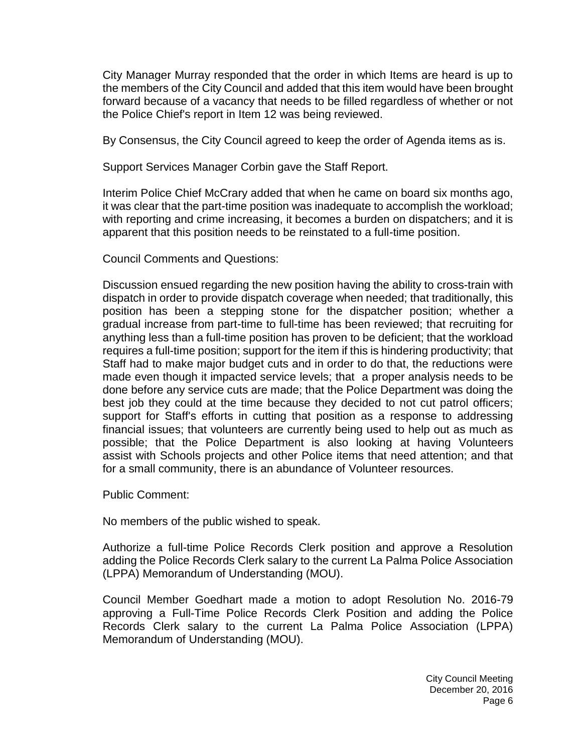City Manager Murray responded that the order in which Items are heard is up to the members of the City Council and added that this item would have been brought forward because of a vacancy that needs to be filled regardless of whether or not the Police Chief's report in Item 12 was being reviewed.

By Consensus, the City Council agreed to keep the order of Agenda items as is.

Support Services Manager Corbin gave the Staff Report.

Interim Police Chief McCrary added that when he came on board six months ago, it was clear that the part-time position was inadequate to accomplish the workload; with reporting and crime increasing, it becomes a burden on dispatchers; and it is apparent that this position needs to be reinstated to a full-time position.

Council Comments and Questions:

Discussion ensued regarding the new position having the ability to cross-train with dispatch in order to provide dispatch coverage when needed; that traditionally, this position has been a stepping stone for the dispatcher position; whether a gradual increase from part-time to full-time has been reviewed; that recruiting for anything less than a full-time position has proven to be deficient; that the workload requires a full-time position; support for the item if this is hindering productivity; that Staff had to make major budget cuts and in order to do that, the reductions were made even though it impacted service levels; that a proper analysis needs to be done before any service cuts are made; that the Police Department was doing the best job they could at the time because they decided to not cut patrol officers; support for Staff's efforts in cutting that position as a response to addressing financial issues; that volunteers are currently being used to help out as much as possible; that the Police Department is also looking at having Volunteers assist with Schools projects and other Police items that need attention; and that for a small community, there is an abundance of Volunteer resources.

Public Comment:

No members of the public wished to speak.

Authorize a full-time Police Records Clerk position and approve a Resolution adding the Police Records Clerk salary to the current La Palma Police Association (LPPA) Memorandum of Understanding (MOU).

Council Member Goedhart made a motion to adopt Resolution No. 2016-79 approving a Full-Time Police Records Clerk Position and adding the Police Records Clerk salary to the current La Palma Police Association (LPPA) Memorandum of Understanding (MOU).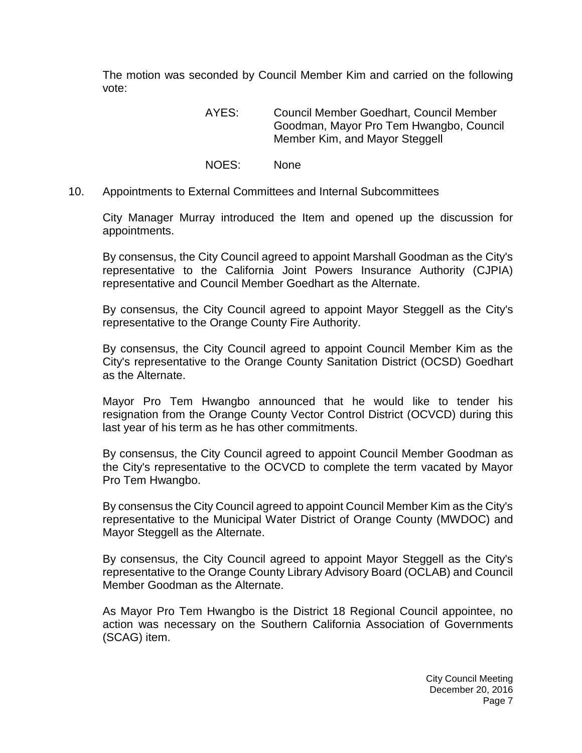The motion was seconded by Council Member Kim and carried on the following vote:

> AYES: Council Member Goedhart, Council Member Goodman, Mayor Pro Tem Hwangbo, Council Member Kim, and Mayor Steggell

- NOES: None
- 10. [Appointments to External Committees and Internal Subcommittees](http://lapalma.granicus.com/MediaPlayer.php?view_id=&clip_id=1047&meta_id=137920)

City Manager Murray introduced the Item and opened up the discussion for appointments.

By consensus, the City Council agreed to appoint Marshall Goodman as the City's representative to the California Joint Powers Insurance Authority (CJPIA) representative and Council Member Goedhart as the Alternate.

By consensus, the City Council agreed to appoint Mayor Steggell as the City's representative to the Orange County Fire Authority.

By consensus, the City Council agreed to appoint Council Member Kim as the City's representative to the Orange County Sanitation District (OCSD) Goedhart as the Alternate.

Mayor Pro Tem Hwangbo announced that he would like to tender his resignation from the Orange County Vector Control District (OCVCD) during this last year of his term as he has other commitments.

By consensus, the City Council agreed to appoint Council Member Goodman as the City's representative to the OCVCD to complete the term vacated by Mayor Pro Tem Hwangbo.

By consensus the City Council agreed to appoint Council Member Kim as the City's representative to the Municipal Water District of Orange County (MWDOC) and Mayor Steggell as the Alternate.

By consensus, the City Council agreed to appoint Mayor Steggell as the City's representative to the Orange County Library Advisory Board (OCLAB) and Council Member Goodman as the Alternate.

As Mayor Pro Tem Hwangbo is the District 18 Regional Council appointee, no action was necessary on the Southern California Association of Governments (SCAG) item.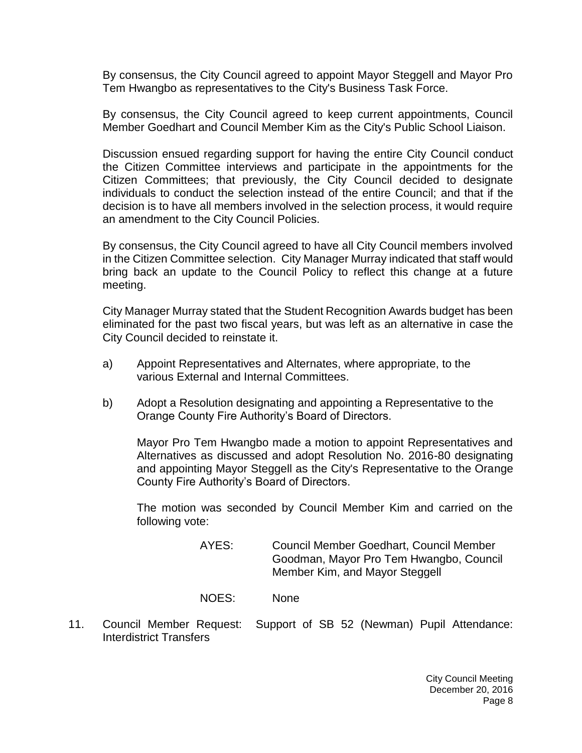By consensus, the City Council agreed to appoint Mayor Steggell and Mayor Pro Tem Hwangbo as representatives to the City's Business Task Force.

By consensus, the City Council agreed to keep current appointments, Council Member Goedhart and Council Member Kim as the City's Public School Liaison.

Discussion ensued regarding support for having the entire City Council conduct the Citizen Committee interviews and participate in the appointments for the Citizen Committees; that previously, the City Council decided to designate individuals to conduct the selection instead of the entire Council; and that if the decision is to have all members involved in the selection process, it would require an amendment to the City Council Policies.

By consensus, the City Council agreed to have all City Council members involved in the Citizen Committee selection. City Manager Murray indicated that staff would bring back an update to the Council Policy to reflect this change at a future meeting.

City Manager Murray stated that the Student Recognition Awards budget has been eliminated for the past two fiscal years, but was left as an alternative in case the City Council decided to reinstate it.

- a) Appoint Representatives and Alternates, where appropriate, to the various External and Internal Committees.
- b) Adopt a Resolution designating and appointing a Representative to the Orange County Fire Authority's Board of Directors.

Mayor Pro Tem Hwangbo made a motion to appoint Representatives and Alternatives as discussed and adopt Resolution No. 2016-80 designating and appointing Mayor Steggell as the City's Representative to the Orange County Fire Authority's Board of Directors.

The motion was seconded by Council Member Kim and carried on the following vote:

> AYES: Council Member Goedhart, Council Member Goodman, Mayor Pro Tem Hwangbo, Council Member Kim, and Mayor Steggell

NOES: None

11. Council Member Request: [Support of SB 52 \(Newman\) Pupil Attendance:](http://lapalma.granicus.com/MediaPlayer.php?view_id=&clip_id=1047&meta_id=137925)  [Interdistrict Transfers](http://lapalma.granicus.com/MediaPlayer.php?view_id=&clip_id=1047&meta_id=137925)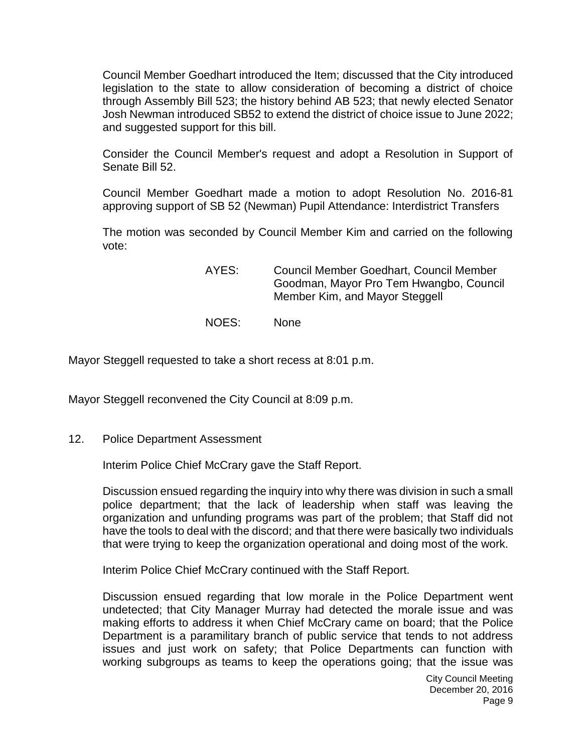Council Member Goedhart introduced the Item; discussed that the City introduced legislation to the state to allow consideration of becoming a district of choice through Assembly Bill 523; the history behind AB 523; that newly elected Senator Josh Newman introduced SB52 to extend the district of choice issue to June 2022; and suggested support for this bill.

Consider the Council Member's request and adopt a Resolution in Support of Senate Bill 52.

Council Member Goedhart made a motion to adopt Resolution No. 2016-81 approving support of SB 52 (Newman) Pupil Attendance: Interdistrict Transfers

The motion was seconded by Council Member Kim and carried on the following vote:

- AYES: Council Member Goedhart, Council Member Goodman, Mayor Pro Tem Hwangbo, Council Member Kim, and Mayor Steggell
- NOES: None

Mayor Steggell requested to take a short recess at 8:01 p.m.

Mayor Steggell reconvened the City Council at 8:09 p.m.

12. [Police Department Assessment](http://lapalma.granicus.com/MediaPlayer.php?view_id=&clip_id=1047&meta_id=137928)

Interim Police Chief McCrary gave the Staff Report.

Discussion ensued regarding the inquiry into why there was division in such a small police department; that the lack of leadership when staff was leaving the organization and unfunding programs was part of the problem; that Staff did not have the tools to deal with the discord; and that there were basically two individuals that were trying to keep the organization operational and doing most of the work.

Interim Police Chief McCrary continued with the Staff Report.

Discussion ensued regarding that low morale in the Police Department went undetected; that City Manager Murray had detected the morale issue and was making efforts to address it when Chief McCrary came on board; that the Police Department is a paramilitary branch of public service that tends to not address issues and just work on safety; that Police Departments can function with working subgroups as teams to keep the operations going; that the issue was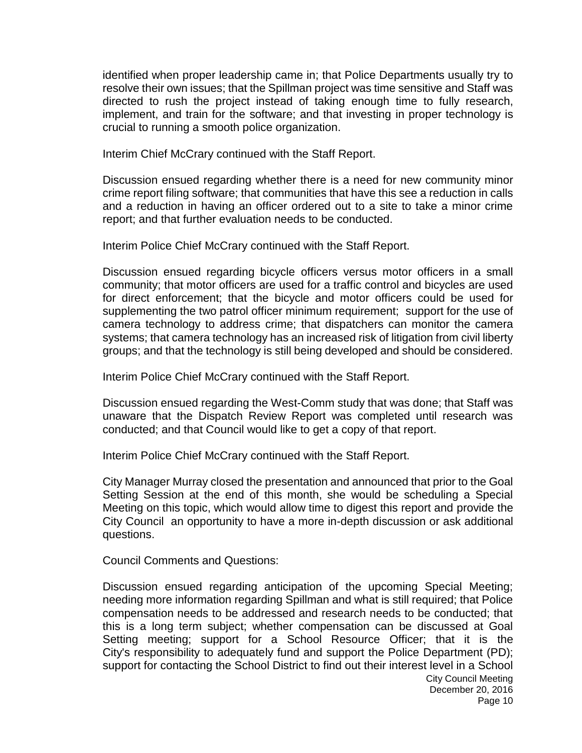identified when proper leadership came in; that Police Departments usually try to resolve their own issues; that the Spillman project was time sensitive and Staff was directed to rush the project instead of taking enough time to fully research, implement, and train for the software; and that investing in proper technology is crucial to running a smooth police organization.

Interim Chief McCrary continued with the Staff Report.

Discussion ensued regarding whether there is a need for new community minor crime report filing software; that communities that have this see a reduction in calls and a reduction in having an officer ordered out to a site to take a minor crime report; and that further evaluation needs to be conducted.

Interim Police Chief McCrary continued with the Staff Report.

Discussion ensued regarding bicycle officers versus motor officers in a small community; that motor officers are used for a traffic control and bicycles are used for direct enforcement; that the bicycle and motor officers could be used for supplementing the two patrol officer minimum requirement; support for the use of camera technology to address crime; that dispatchers can monitor the camera systems; that camera technology has an increased risk of litigation from civil liberty groups; and that the technology is still being developed and should be considered.

Interim Police Chief McCrary continued with the Staff Report.

Discussion ensued regarding the West-Comm study that was done; that Staff was unaware that the Dispatch Review Report was completed until research was conducted; and that Council would like to get a copy of that report.

Interim Police Chief McCrary continued with the Staff Report.

City Manager Murray closed the presentation and announced that prior to the Goal Setting Session at the end of this month, she would be scheduling a Special Meeting on this topic, which would allow time to digest this report and provide the City Council an opportunity to have a more in-depth discussion or ask additional questions.

Council Comments and Questions:

Discussion ensued regarding anticipation of the upcoming Special Meeting; needing more information regarding Spillman and what is still required; that Police compensation needs to be addressed and research needs to be conducted; that this is a long term subject; whether compensation can be discussed at Goal Setting meeting; support for a School Resource Officer; that it is the City's responsibility to adequately fund and support the Police Department (PD); support for contacting the School District to find out their interest level in a School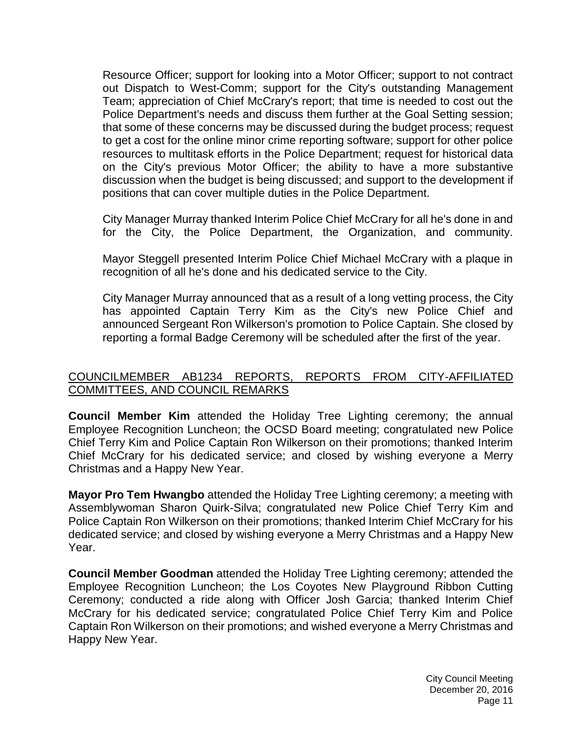Resource Officer; support for looking into a Motor Officer; support to not contract out Dispatch to West-Comm; support for the City's outstanding Management Team; appreciation of Chief McCrary's report; that time is needed to cost out the Police Department's needs and discuss them further at the Goal Setting session; that some of these concerns may be discussed during the budget process; request to get a cost for the online minor crime reporting software; support for other police resources to multitask efforts in the Police Department; request for historical data on the City's previous Motor Officer; the ability to have a more substantive discussion when the budget is being discussed; and support to the development if positions that can cover multiple duties in the Police Department.

City Manager Murray thanked Interim Police Chief McCrary for all he's done in and for the City, the Police Department, the Organization, and community.

Mayor Steggell presented Interim Police Chief Michael McCrary with a plaque in recognition of all he's done and his dedicated service to the City.

City Manager Murray announced that as a result of a long vetting process, the City has appointed Captain Terry Kim as the City's new Police Chief and announced Sergeant Ron Wilkerson's promotion to Police Captain. She closed by reporting a formal Badge Ceremony will be scheduled after the first of the year.

### [COUNCILMEMBER AB1234 REPORTS, REPORTS FROM CITY-AFFILIATED](http://lapalma.granicus.com/MediaPlayer.php?view_id=&clip_id=1047&meta_id=137947)  [COMMITTEES, AND COUNCIL REMARKS](http://lapalma.granicus.com/MediaPlayer.php?view_id=&clip_id=1047&meta_id=137947)

**Council Member Kim** attended the Holiday Tree Lighting ceremony; the annual Employee Recognition Luncheon; the OCSD Board meeting; congratulated new Police Chief Terry Kim and Police Captain Ron Wilkerson on their promotions; thanked Interim Chief McCrary for his dedicated service; and closed by wishing everyone a Merry Christmas and a Happy New Year.

**Mayor Pro Tem Hwangbo** attended the Holiday Tree Lighting ceremony; a meeting with Assemblywoman Sharon Quirk-Silva; congratulated new Police Chief Terry Kim and Police Captain Ron Wilkerson on their promotions; thanked Interim Chief McCrary for his dedicated service; and closed by wishing everyone a Merry Christmas and a Happy New Year.

**Council Member Goodman** attended the Holiday Tree Lighting ceremony; attended the Employee Recognition Luncheon; the Los Coyotes New Playground Ribbon Cutting Ceremony; conducted a ride along with Officer Josh Garcia; thanked Interim Chief McCrary for his dedicated service; congratulated Police Chief Terry Kim and Police Captain Ron Wilkerson on their promotions; and wished everyone a Merry Christmas and Happy New Year.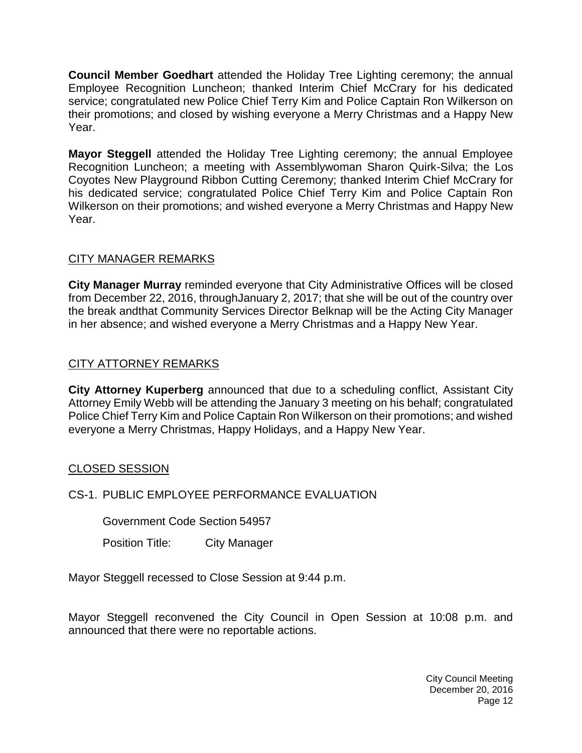**Council Member Goedhart** attended the Holiday Tree Lighting ceremony; the annual Employee Recognition Luncheon; thanked Interim Chief McCrary for his dedicated service; congratulated new Police Chief Terry Kim and Police Captain Ron Wilkerson on their promotions; and closed by wishing everyone a Merry Christmas and a Happy New Year.

**Mayor Steggell** attended the Holiday Tree Lighting ceremony; the annual Employee Recognition Luncheon; a meeting with Assemblywoman Sharon Quirk-Silva; the Los Coyotes New Playground Ribbon Cutting Ceremony; thanked Interim Chief McCrary for his dedicated service; congratulated Police Chief Terry Kim and Police Captain Ron Wilkerson on their promotions; and wished everyone a Merry Christmas and Happy New Year.

# [CITY MANAGER REMARKS](http://lapalma.granicus.com/MediaPlayer.php?view_id=&clip_id=1047&meta_id=137953)

**City Manager Murray** reminded everyone that City Administrative Offices will be closed from December 22, 2016, throughJanuary 2, 2017; that she will be out of the country over the break andthat Community Services Director Belknap will be the Acting City Manager in her absence; and wished everyone a Merry Christmas and a Happy New Year.

# [CITY ATTORNEY REMARKS](http://lapalma.granicus.com/MediaPlayer.php?view_id=&clip_id=1047&meta_id=137955)

**City Attorney Kuperberg** announced that due to a scheduling conflict, Assistant City Attorney Emily Webb will be attending the January 3 meeting on his behalf; congratulated Police Chief Terry Kim and Police Captain Ron Wilkerson on their promotions; and wished everyone a Merry Christmas, Happy Holidays, and a Happy New Year.

## [CLOSED SESSION](http://lapalma.granicus.com/MediaPlayer.php?view_id=&clip_id=1047&meta_id=137957)

## CS-1. [PUBLIC EMPLOYEE PERFORMANCE EVALUATION](http://lapalma.granicus.com/MediaPlayer.php?view_id=&clip_id=1047&meta_id=137958)

Government Code Section 54957

Position Title: City Manager

Mayor Steggell recessed to Close Session at 9:44 p.m.

Mayor Steggell reconvened the City Council in Open Session at 10:08 p.m. and announced that there were no reportable actions.